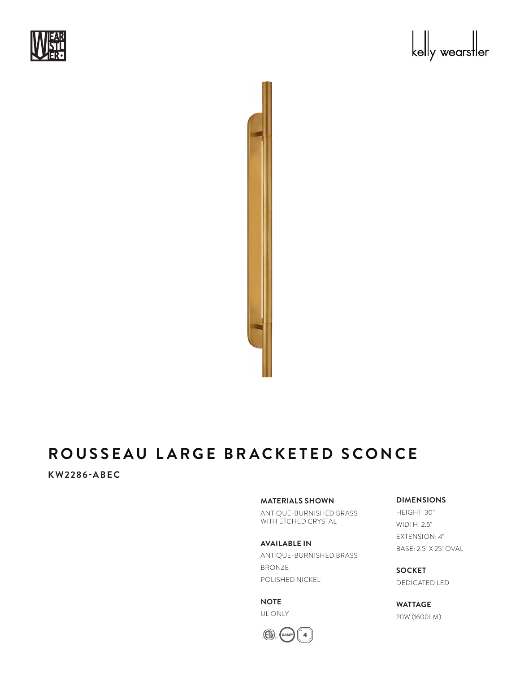





# **ROUSSEAU LARGE BRACKETED SCONCE**

# **KW2286-ABEC**

### **MATERIALS SHOWN**

ANTIQUE-BURNISHED BRASS WITH ETCHED CRYSTAL

#### **AVAILABLE IN**

ANTIQUE-BURNISHED BRASS BRONZE POLISHED NICKEL

**NOTE** UL ONLY



# **DIMENSIONS**

HEIGHT: 30" WIDTH: 2.5" EXTENSION: 4" BASE: 2.5" X 25" OVAL

**SOCKET** DEDICATED LED

**WATTAGE** 20W (1600LM)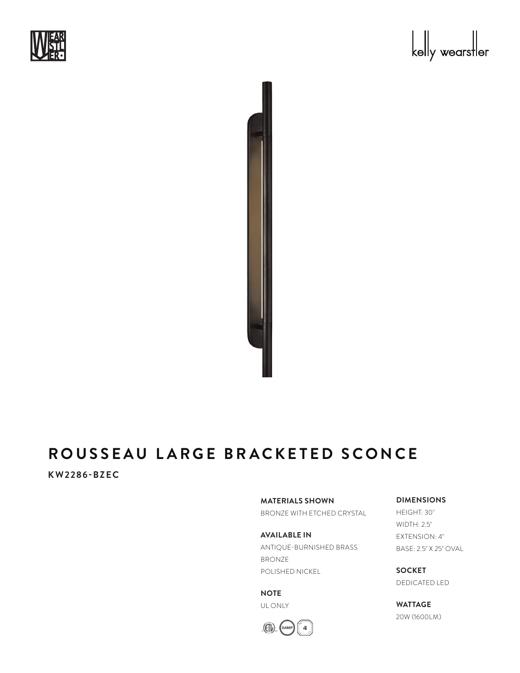





# **ROUSSEAU LARGE BRACKETED SCONCE**

### **KW2286-BZEC**

**MATERIALS SHOWN**

BRONZE WITH ETCHED CRYSTAL

**AVAILABLE IN** ANTIQUE-BURNISHED BRASS BRONZE POLISHED NICKEL

**NOTE** UL ONLY



**DIMENSIONS**

HEIGHT: 30" WIDTH: 2.5" EXTENSION: 4" BASE: 2.5" X 25" OVAL

**SOCKET** DEDICATED LED

**WATTAGE** 20W (1600LM)